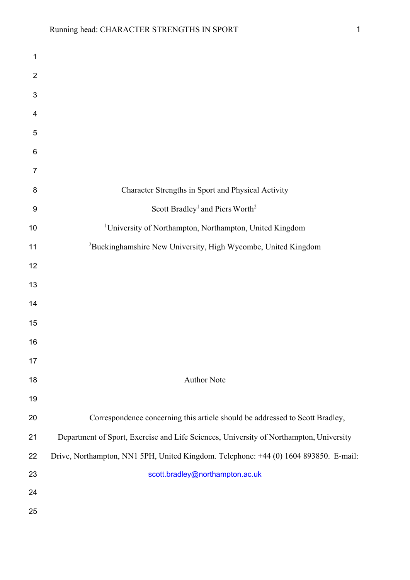| 1              |                                                                                        |
|----------------|----------------------------------------------------------------------------------------|
| $\overline{2}$ |                                                                                        |
| 3              |                                                                                        |
| 4              |                                                                                        |
| 5              |                                                                                        |
| 6              |                                                                                        |
| $\overline{7}$ |                                                                                        |
| 8              | Character Strengths in Sport and Physical Activity                                     |
| 9              | Scott Bradley <sup>1</sup> and Piers Worth <sup>2</sup>                                |
| 10             | <sup>1</sup> University of Northampton, Northampton, United Kingdom                    |
| 11             | <sup>2</sup> Buckinghamshire New University, High Wycombe, United Kingdom              |
| 12             |                                                                                        |
| 13             |                                                                                        |
| 14             |                                                                                        |
| 15             |                                                                                        |
| 16             |                                                                                        |
| 17             |                                                                                        |
| 18             | <b>Author Note</b>                                                                     |
| 19             |                                                                                        |
| 20             | Correspondence concerning this article should be addressed to Scott Bradley,           |
| 21             | Department of Sport, Exercise and Life Sciences, University of Northampton, University |
| 22             | Drive, Northampton, NN1 5PH, United Kingdom. Telephone: +44 (0) 1604 893850. E-mail:   |
| 23             | scott.bradley@northampton.ac.uk                                                        |
| 24             |                                                                                        |
| 25             |                                                                                        |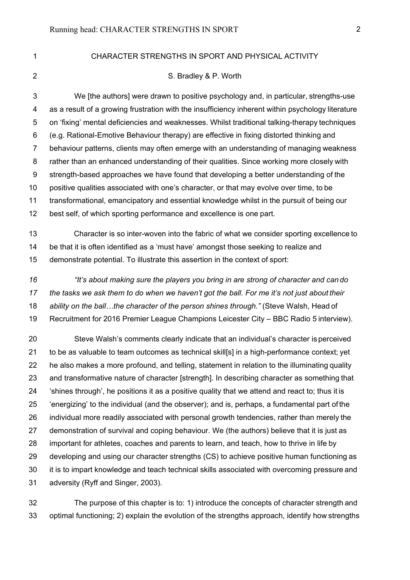#### 1 CHARACTER STRENGTHS IN SPORT AND PHYSICAL ACTIVITY

#### 2 S. Bradley & P. Worth

3 We [the authors] were drawn to positive psychology and, in particular, strengths-use 4 as a result of a growing frustration with the insufficiency inherent within psychology literature 5 on 'fixing' mental deficiencies and weaknesses. Whilst traditional talking-therapy techniques 6 (e.g. Rational-Emotive Behaviour therapy) are effective in fixing distorted thinking and 7 behaviour patterns, clients may often emerge with an understanding of managing weakness 8 rather than an enhanced understanding of their qualities. Since working more closely with 9 strength-based approaches we have found that developing a better understanding of the positive qualities associated with one's character, or that may evolve over time, to be transformational, emancipatory and essential knowledge whilst in the pursuit of being our best self, of which sporting performance and excellence is one part.

 Character is so inter-woven into the fabric of what we consider sporting excellence to be that it is often identified as a 'must have' amongst those seeking to realize and demonstrate potential. To illustrate this assertion in the context of sport:

 *"It's about making sure the players you bring in are strong of character and can do the tasks we ask them to do when we haven't got the ball. For me it's not just about their ability on the ball…the character of the person shines through."* (Steve Walsh, Head of Recruitment for 2016 Premier League Champions Leicester City – BBC Radio 5 interview).

 Steve Walsh's comments clearly indicate that an individual's character is perceived 21 to be as valuable to team outcomes as technical skill[s] in a high-performance context; yet he also makes a more profound, and telling, statement in relation to the illuminating quality and transformative nature of character [strength]. In describing character as something that 'shines through', he positions it as a positive quality that we attend and react to; thus it is 'energizing' to the individual (and the observer); and is, perhaps, a fundamental part ofthe individual more readily associated with personal growth tendencies, rather than merely the demonstration of survival and coping behaviour. We (the authors) believe that it is just as important for athletes, coaches and parents to learn, and teach, how to thrive in life by developing and using our character strengths (CS) to achieve positive human functioning as 30 it is to impart knowledge and teach technical skills associated with overcoming pressure and adversity (Ryff and Singer, 2003).

 The purpose of this chapter is to: 1) introduce the concepts of character strength and optimal functioning; 2) explain the evolution of the strengths approach, identify how strengths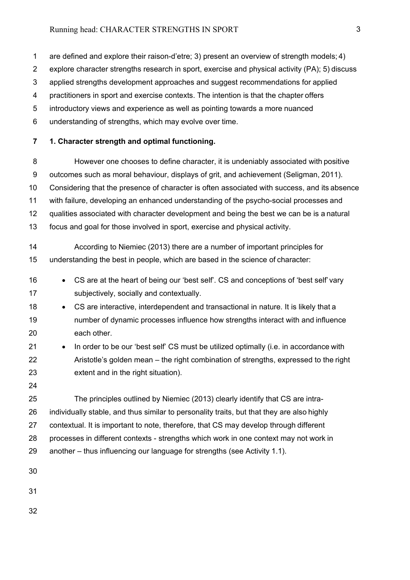1 are defined and explore their raison-d'etre; 3) present an overview of strength models; 4)

- 2 explore character strengths research in sport, exercise and physical activity (PA); 5) discuss
- 3 applied strengths development approaches and suggest recommendations for applied
- 4 practitioners in sport and exercise contexts. The intention is that the chapter offers
- 5 introductory views and experience as well as pointing towards a more nuanced
- 6 understanding of strengths, which may evolve over time.

# **7 1. Character strength and optimal functioning.**

- 8 However one chooses to define character, it is undeniably associated with positive 9 outcomes such as moral behaviour, displays of grit, and achievement (Seligman, 2011). Considering that the presence of character is often associated with success, and its absence with failure, developing an enhanced understanding of the psycho-social processes and qualities associated with character development and being the best we can be is a natural focus and goal for those involved in sport, exercise and physical activity.
- According to Niemiec (2013) there are a number of important principles for understanding the best in people, which are based in the science of character:
- CS are at the heart of being our 'best self'. CS and conceptions of 'best self' vary subjectively, socially and contextually.
- 18 CS are interactive, interdependent and transactional in nature. It is likely that a number of dynamic processes influence how strengths interact with and influence each other.
- In order to be our 'best self' CS must be utilized optimally (i.e. in accordance with Aristotle's golden mean – the right combination of strengths, expressed to the right extent and in the right situation).
- 

 The principles outlined by Niemiec (2013) clearly identify that CS are intra- individually stable, and thus similar to personality traits, but that they are also highly contextual. It is important to note, therefore, that CS may develop through different processes in different contexts - strengths which work in one context may not work in another – thus influencing our language for strengths (see Activity 1.1).

- 
- 
-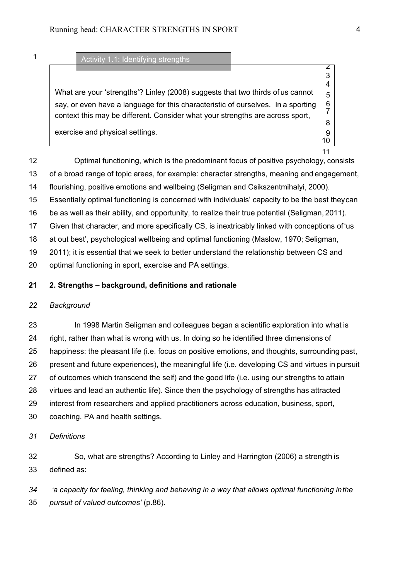# Activity 1.1: Identifying strengths

 What are your 'strengths'? Linley (2008) suggests that two thirds of us cannot say, or even have a language for this characteristic of ourselves. In a sporting 6<br>7 context this may be different. Consider what your strengths are across sport, exercise and physical settings. **9** and  $\theta$  and  $\theta$  and  $\theta$  and  $\theta$  and  $\theta$  and  $\theta$  and  $\theta$  and  $\theta$  and  $\theta$  and  $\theta$  and  $\theta$  and  $\theta$  and  $\theta$  and  $\theta$  and  $\theta$  and  $\theta$  and  $\theta$  and  $\theta$  and  $\theta$  and  $\theta$  and  $\$ 

 Optimal functioning, which is the predominant focus of positive psychology, consists of a broad range of topic areas, for example: character strengths, meaning and engagement, flourishing, positive emotions and wellbeing (Seligman and Csikszentmihalyi, 2000). Essentially optimal functioning is concerned with individuals' capacity to be the best theycan be as well as their ability, and opportunity, to realize their true potential (Seligman, 2011). Given that character, and more specifically CS, is inextricably linked with conceptions of'us at out best', psychological wellbeing and optimal functioning (Maslow, 1970; Seligman, 2011); it is essential that we seek to better understand the relationship between CS and optimal functioning in sport, exercise and PA settings.

### **2. Strengths – background, definitions and rationale**

## *Background*

 In 1998 Martin Seligman and colleagues began a scientific exploration into what is right, rather than what is wrong with us. In doing so he identified three dimensions of happiness: the pleasant life (i.e. focus on positive emotions, and thoughts, surrounding past, present and future experiences), the meaningful life (i.e. developing CS and virtues in pursuit of outcomes which transcend the self) and the good life (i.e. using our strengths to attain virtues and lead an authentic life). Since then the psychology of strengths has attracted interest from researchers and applied practitioners across education, business, sport, coaching, PA and health settings.

### *Definitions*

 So, what are strengths? According to Linley and Harrington (2006) a strength is defined as:

 *'a capacity for feeling, thinking and behaving in a way that allows optimal functioning inthe pursuit of valued outcomes'* (p.86).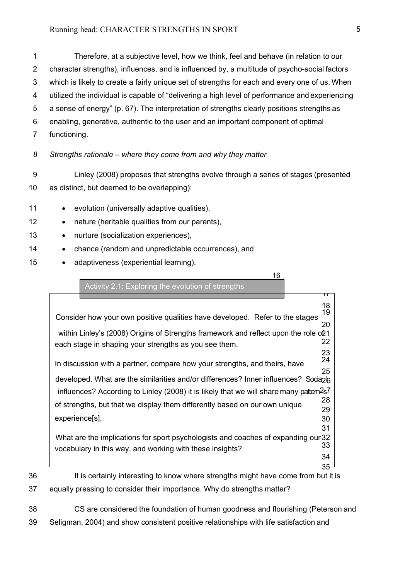1 Therefore, at a subjective level, how we think, feel and behave (in relation to our 2 character strengths), influences, and is influenced by, a multitude of psycho-social factors 3 which is likely to create a fairly unique set of strengths for each and every one of us. When 4 utilized the individual is capable of "delivering a high level of performance and experiencing 5 a sense of energy" (p. 67). The interpretation of strengths clearly positions strengths as 6 enabling, generative, authentic to the user and an important component of optimal 7 functioning.

- *8 Strengths rationale where they come from and why they matter*
- 9 Linley (2008) proposes that strengths evolve through a series of stages (presented 10 as distinct, but deemed to be overlapping):
- 11 evolution (universally adaptive qualities),
- 12 nature (heritable qualities from our parents),
- 13 nurture (socialization experiences),
- 14 chance (random and unpredictable occurrences), and
- 15 adaptiveness (experiential learning).

16

35 Activity 2.1: Exploring the evolution of strengths  $\overline{17}$ 18 Consider how your own positive qualities have developed. Refer to the stages 20 within Linley's (2008) Origins of Strengths framework and reflect upon the role o21<br>22 each stage in shaping your strengths as you see them. 23<br>24 In discussion with a partner, compare how your strengths, and theirs, have 25 developed. What are the similarities and/or differences? Inner influences? Socia<sub>2</sub>l<sub>6</sub> influences? According to Linley (2008) it is likely that we will share many pattem<sup>2</sup>s<sup>7</sup> of strengths, but that we display them differently based on our own unique <sup>28</sup> 29 experience[s]. 30 31 What are the implications for sport psychologists and coaches of expanding our 32<br>33 vocabulary in this way, and working with these insights? 34

- 36 It is certainly interesting to know where strengths might have come from but it is 37 equally pressing to consider their importance. Why do strengths matter?
- 38 CS are considered the foundation of human goodness and flourishing (Peterson and 39 Seligman, 2004) and show consistent positive relationships with life satisfaction and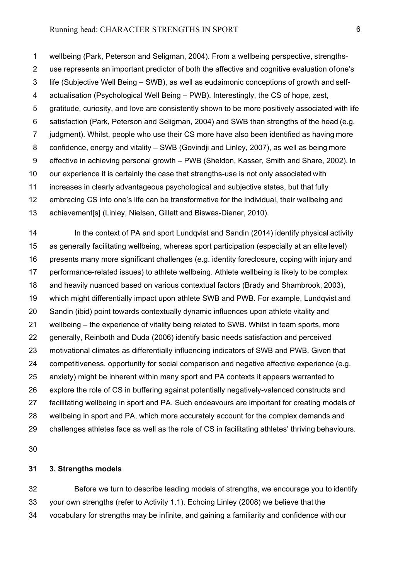1 wellbeing (Park, Peterson and Seligman, 2004). From a wellbeing perspective, strengths-2 use represents an important predictor of both the affective and cognitive evaluation ofone's 3 life (Subjective Well Being – SWB), as well as eudaimonic conceptions of growth and self-4 actualisation (Psychological Well Being – PWB). Interestingly, the CS of hope, zest, 5 gratitude, curiosity, and love are consistently shown to be more positively associated with life 6 satisfaction (Park, Peterson and Seligman, 2004) and SWB than strengths of the head (e.g. 7 judgment). Whilst, people who use their CS more have also been identified as having more 8 confidence, energy and vitality – SWB (Govindji and Linley, 2007), as well as being more 9 effective in achieving personal growth – PWB (Sheldon, Kasser, Smith and Share, 2002). In our experience it is certainly the case that strengths-use is not only associated with increases in clearly advantageous psychological and subjective states, but that fully embracing CS into one's life can be transformative for the individual, their wellbeing and achievement[s] (Linley, Nielsen, Gillett and Biswas-Diener, 2010).

14 In the context of PA and sport Lundqvist and Sandin (2014) identify physical activity as generally facilitating wellbeing, whereas sport participation (especially at an elite level) presents many more significant challenges (e.g. identity foreclosure, coping with injury and performance-related issues) to athlete wellbeing. Athlete wellbeing is likely to be complex and heavily nuanced based on various contextual factors (Brady and Shambrook, 2003), which might differentially impact upon athlete SWB and PWB. For example, Lundqvist and Sandin (ibid) point towards contextually dynamic influences upon athlete vitality and wellbeing – the experience of vitality being related to SWB. Whilst in team sports, more generally, Reinboth and Duda (2006) identify basic needs satisfaction and perceived motivational climates as differentially influencing indicators of SWB and PWB. Given that competitiveness, opportunity for social comparison and negative affective experience (e.g. anxiety) might be inherent within many sport and PA contexts it appears warranted to explore the role of CS in buffering against potentially negatively-valenced constructs and facilitating wellbeing in sport and PA. Such endeavours are important for creating models of wellbeing in sport and PA, which more accurately account for the complex demands and challenges athletes face as well as the role of CS in facilitating athletes' thriving behaviours.

## **3. Strengths models**

 Before we turn to describe leading models of strengths, we encourage you to identify your own strengths (refer to Activity 1.1). Echoing Linley (2008) we believe that the vocabulary for strengths may be infinite, and gaining a familiarity and confidence with our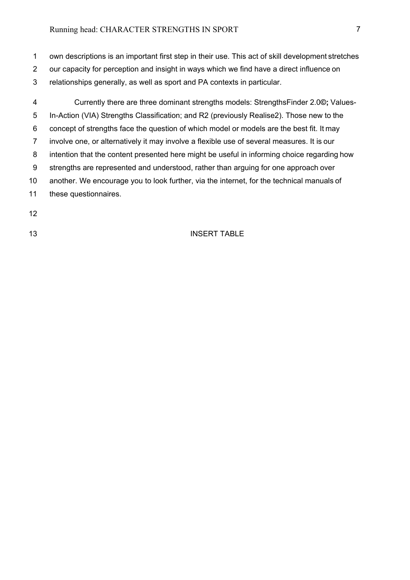1 own descriptions is an important first step in their use. This act of skill development stretches

- 2 our capacity for perception and insight in ways which we find have a direct influence on
- 3 relationships generally, as well as sport and PA contexts in particular.

4 Currently there are three dominant strengths models: StrengthsFinder 2.0**©;** Values-5 In-Action (VIA) Strengths Classification; and R2 (previously Realise2). Those new to the 6 concept of strengths face the question of which model or models are the best fit. It may 7 involve one, or alternatively it may involve a flexible use of several measures. It is our 8 intention that the content presented here might be useful in informing choice regarding how 9 strengths are represented and understood, rather than arguing for one approach over 10 another. We encourage you to look further, via the internet, for the technical manuals of 11 these questionnaires.

- 12
- 

# 13 INSERT TABLE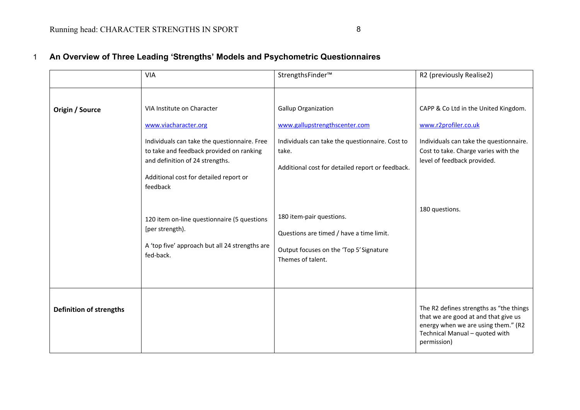|                                | <b>VIA</b>                                                                                                                                                                                                                              | StrengthsFinder™                                                                                                                                                            | R2 (previously Realise2)                                                                                                                                                       |
|--------------------------------|-----------------------------------------------------------------------------------------------------------------------------------------------------------------------------------------------------------------------------------------|-----------------------------------------------------------------------------------------------------------------------------------------------------------------------------|--------------------------------------------------------------------------------------------------------------------------------------------------------------------------------|
| Origin / Source                | VIA Institute on Character<br>www.viacharacter.org<br>Individuals can take the questionnaire. Free<br>to take and feedback provided on ranking<br>and definition of 24 strengths.<br>Additional cost for detailed report or<br>feedback | <b>Gallup Organization</b><br>www.gallupstrengthscenter.com<br>Individuals can take the questionnaire. Cost to<br>take.<br>Additional cost for detailed report or feedback. | CAPP & Co Ltd in the United Kingdom.<br>www.r2profiler.co.uk<br>Individuals can take the questionnaire.<br>Cost to take. Charge varies with the<br>level of feedback provided. |
|                                | 120 item on-line questionnaire (5 questions<br>[per strength).<br>A 'top five' approach but all 24 strengths are<br>fed-back.                                                                                                           | 180 item-pair questions.<br>Questions are timed / have a time limit.<br>Output focuses on the 'Top 5' Signature<br>Themes of talent.                                        | 180 questions.                                                                                                                                                                 |
| <b>Definition of strengths</b> |                                                                                                                                                                                                                                         |                                                                                                                                                                             | The R2 defines strengths as "the things<br>that we are good at and that give us<br>energy when we are using them." (R2<br>Technical Manual - quoted with<br>permission)        |

# 1 **An Overview of Three Leading 'Strengths' Models and Psychometric Questionnaires**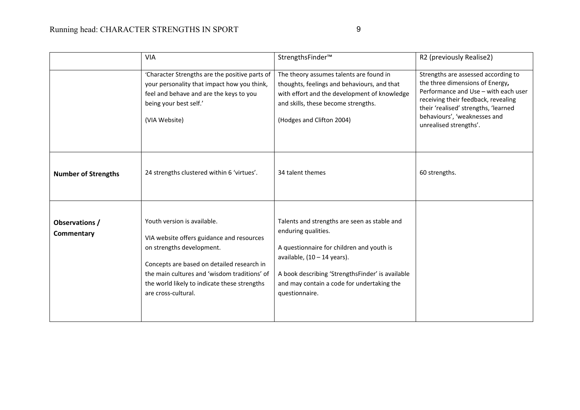|                                                                                                                                                                                                                                                                                                                                                                                      | <b>VIA</b>                                                                                                                                                                          | StrengthsFinder™                                                                                                                                                                                           | R2 (previously Realise2)                                                                                                                                                                                                                                |
|--------------------------------------------------------------------------------------------------------------------------------------------------------------------------------------------------------------------------------------------------------------------------------------------------------------------------------------------------------------------------------------|-------------------------------------------------------------------------------------------------------------------------------------------------------------------------------------|------------------------------------------------------------------------------------------------------------------------------------------------------------------------------------------------------------|---------------------------------------------------------------------------------------------------------------------------------------------------------------------------------------------------------------------------------------------------------|
|                                                                                                                                                                                                                                                                                                                                                                                      | 'Character Strengths are the positive parts of<br>your personality that impact how you think,<br>feel and behave and are the keys to you<br>being your best self.'<br>(VIA Website) | The theory assumes talents are found in<br>thoughts, feelings and behaviours, and that<br>with effort and the development of knowledge<br>and skills, these become strengths.<br>(Hodges and Clifton 2004) | Strengths are assessed according to<br>the three dimensions of Energy,<br>Performance and Use - with each user<br>receiving their feedback, revealing<br>their 'realised' strengths, 'learned<br>behaviours', 'weaknesses and<br>unrealised strengths'. |
| <b>Number of Strengths</b>                                                                                                                                                                                                                                                                                                                                                           | 24 strengths clustered within 6 'virtues'.                                                                                                                                          | 34 talent themes                                                                                                                                                                                           | 60 strengths.                                                                                                                                                                                                                                           |
| Youth version is available.<br>Observations /<br>enduring qualities.<br>Commentary<br>VIA website offers guidance and resources<br>on strengths development.<br>available, $(10 - 14$ years).<br>Concepts are based on detailed research in<br>the main cultures and 'wisdom traditions' of<br>the world likely to indicate these strengths<br>are cross-cultural.<br>questionnaire. |                                                                                                                                                                                     | Talents and strengths are seen as stable and<br>A questionnaire for children and youth is<br>A book describing 'StrengthsFinder' is available<br>and may contain a code for undertaking the                |                                                                                                                                                                                                                                                         |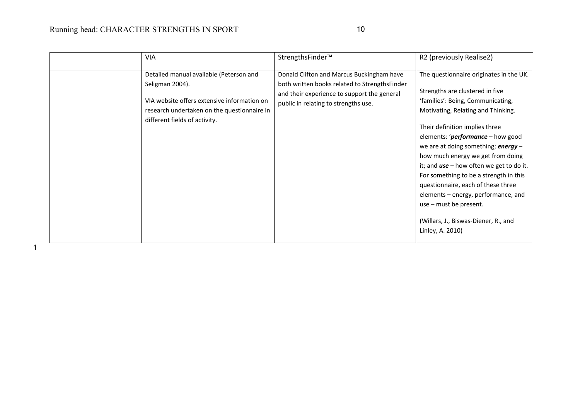# Running head: CHARACTER STRENGTHS IN SPORT 10

| <b>VIA</b>                                                                                                                                                                                | StrengthsFinder™                                                                                                                                                                  | R2 (previously Realise2)                                                                                                                                                                                                                                                                                                                                                                                                                                                                                                                                                             |
|-------------------------------------------------------------------------------------------------------------------------------------------------------------------------------------------|-----------------------------------------------------------------------------------------------------------------------------------------------------------------------------------|--------------------------------------------------------------------------------------------------------------------------------------------------------------------------------------------------------------------------------------------------------------------------------------------------------------------------------------------------------------------------------------------------------------------------------------------------------------------------------------------------------------------------------------------------------------------------------------|
| Detailed manual available (Peterson and<br>Seligman 2004).<br>VIA website offers extensive information on<br>research undertaken on the questionnaire in<br>different fields of activity. | Donald Clifton and Marcus Buckingham have<br>both written books related to StrengthsFinder<br>and their experience to support the general<br>public in relating to strengths use. | The questionnaire originates in the UK.<br>Strengths are clustered in five<br>'families': Being, Communicating,<br>Motivating, Relating and Thinking.<br>Their definition implies three<br>elements: ' <i>performance</i> – how good<br>we are at doing something; <b>energy</b> $-$<br>how much energy we get from doing<br>it; and $use - how$ often we get to do it.<br>For something to be a strength in this<br>questionnaire, each of these three<br>elements - energy, performance, and<br>use - must be present.<br>(Willars, J., Biswas-Diener, R., and<br>Linley, A. 2010) |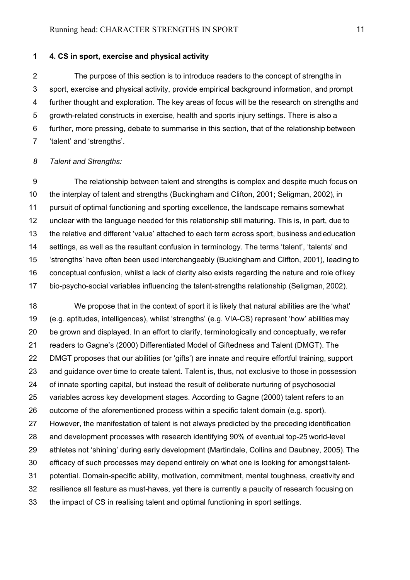# **1 4. CS in sport, exercise and physical activity**

2 The purpose of this section is to introduce readers to the concept of strengths in 3 sport, exercise and physical activity, provide empirical background information, and prompt 4 further thought and exploration. The key areas of focus will be the research on strengths and 5 growth-related constructs in exercise, health and sports injury settings. There is also a 6 further, more pressing, debate to summarise in this section, that of the relationship between 7 'talent' and 'strengths'.

#### *8 Talent and Strengths:*

9 The relationship between talent and strengths is complex and despite much focus on the interplay of talent and strengths (Buckingham and Clifton, 2001; Seligman, 2002), in pursuit of optimal functioning and sporting excellence, the landscape remains somewhat unclear with the language needed for this relationship still maturing. This is, in part, due to the relative and different 'value' attached to each term across sport, business andeducation settings, as well as the resultant confusion in terminology. The terms 'talent', 'talents' and 'strengths' have often been used interchangeably (Buckingham and Clifton, 2001), leading to conceptual confusion, whilst a lack of clarity also exists regarding the nature and role of key bio-psycho-social variables influencing the talent-strengths relationship (Seligman, 2002).

 We propose that in the context of sport it is likely that natural abilities are the 'what' (e.g. aptitudes, intelligences), whilst 'strengths' (e.g. VIA-CS) represent 'how' abilities may be grown and displayed. In an effort to clarify, terminologically and conceptually, we refer readers to Gagne's (2000) Differentiated Model of Giftedness and Talent (DMGT). The DMGT proposes that our abilities (or 'gifts') are innate and require effortful training, support and guidance over time to create talent. Talent is, thus, not exclusive to those in possession of innate sporting capital, but instead the result of deliberate nurturing of psychosocial variables across key development stages. According to Gagne (2000) talent refers to an outcome of the aforementioned process within a specific talent domain (e.g. sport). However, the manifestation of talent is not always predicted by the preceding identification and development processes with research identifying 90% of eventual top-25 world-level athletes not 'shining' during early development (Martindale, Collins and Daubney, 2005). The efficacy of such processes may depend entirely on what one is looking for amongst talent- potential. Domain-specific ability, motivation, commitment, mental toughness, creativity and resilience all feature as must-haves, yet there is currently a paucity of research focusing on the impact of CS in realising talent and optimal functioning in sport settings.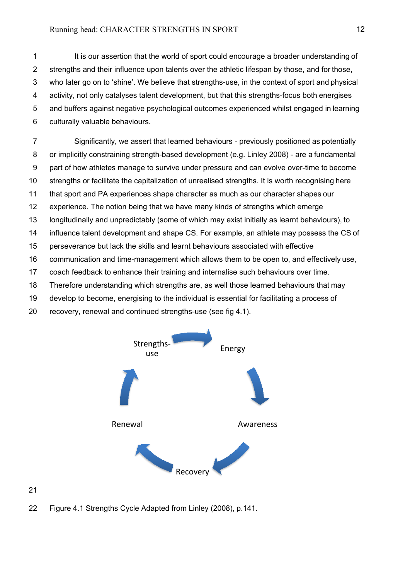1 It is our assertion that the world of sport could encourage a broader understanding of 2 strengths and their influence upon talents over the athletic lifespan by those, and for those, 3 who later go on to 'shine'. We believe that strengths-use, in the context of sport and physical 4 activity, not only catalyses talent development, but that this strengths-focus both energises 5 and buffers against negative psychological outcomes experienced whilst engaged in learning 6 culturally valuable behaviours.

7 Significantly, we assert that learned behaviours - previously positioned as potentially 8 or implicitly constraining strength-based development (e.g. Linley 2008) - are a fundamental 9 part of how athletes manage to survive under pressure and can evolve over-time to become strengths or facilitate the capitalization of unrealised strengths. It is worth recognising here that sport and PA experiences shape character as much as our character shapes our experience. The notion being that we have many kinds of strengths which emerge longitudinally and unpredictably (some of which may exist initially as learnt behaviours), to influence talent development and shape CS. For example, an athlete may possess the CS of perseverance but lack the skills and learnt behaviours associated with effective communication and time-management which allows them to be open to, and effectively use, coach feedback to enhance their training and internalise such behaviours over time. Therefore understanding which strengths are, as well those learned behaviours that may

- 19 develop to become, energising to the individual is essential for facilitating a process of
- 20 recovery, renewal and continued strengths-use (see fig 4.1).



22 Figure 4.1 Strengths Cycle Adapted from Linley (2008), p.141.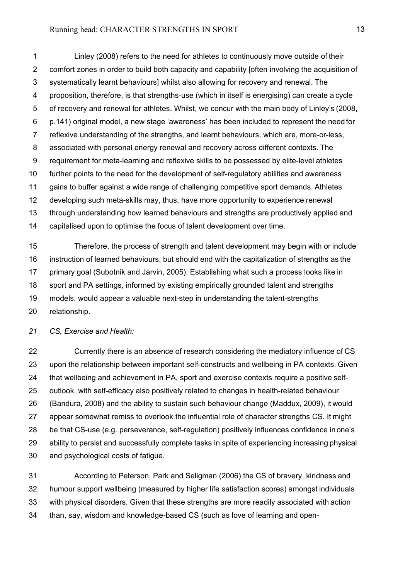1 Linley (2008) refers to the need for athletes to continuously move outside of their 2 comfort zones in order to build both capacity and capability [often involving the acquisition of 3 systematically learnt behaviours] whilst also allowing for recovery and renewal. The 4 proposition, therefore, is that strengths-use (which in itself is energising) can create a cycle 5 of recovery and renewal for athletes. Whilst, we concur with the main body of Linley's (2008, 6 p.141) original model, a new stage 'awareness' has been included to represent the need for 7 reflexive understanding of the strengths, and learnt behaviours, which are, more-or-less, 8 associated with personal energy renewal and recovery across different contexts. The 9 requirement for meta-learning and reflexive skills to be possessed by elite-level athletes further points to the need for the development of self-regulatory abilities and awareness gains to buffer against a wide range of challenging competitive sport demands. Athletes developing such meta-skills may, thus, have more opportunity to experience renewal through understanding how learned behaviours and strengths are productively applied and capitalised upon to optimise the focus of talent development over time.

 Therefore, the process of strength and talent development may begin with or include instruction of learned behaviours, but should end with the capitalization of strengths as the primary goal (Subotnik and Jarvin, 2005). Establishing what such a process looks like in sport and PA settings, informed by existing empirically grounded talent and strengths models, would appear a valuable next-step in understanding the talent-strengths relationship.

*CS, Exercise and Health:*

 Currently there is an absence of research considering the mediatory influence of CS upon the relationship between important self-constructs and wellbeing in PA contexts. Given that wellbeing and achievement in PA, sport and exercise contexts require a positive self- outlook, with self-efficacy also positively related to changes in health-related behaviour (Bandura, 2008) and the ability to sustain such behaviour change (Maddux, 2009), it would appear somewhat remiss to overlook the influential role of character strengths CS. It might be that CS-use (e.g. perseverance, self-regulation) positively influences confidence inone's ability to persist and successfully complete tasks in spite of experiencing increasing physical and psychological costs of fatigue.

 According to Peterson, Park and Seligman (2006) the CS of bravery, kindness and humour support wellbeing (measured by higher life satisfaction scores) amongst individuals with physical disorders. Given that these strengths are more readily associated with action than, say, wisdom and knowledge-based CS (such as love of learning and open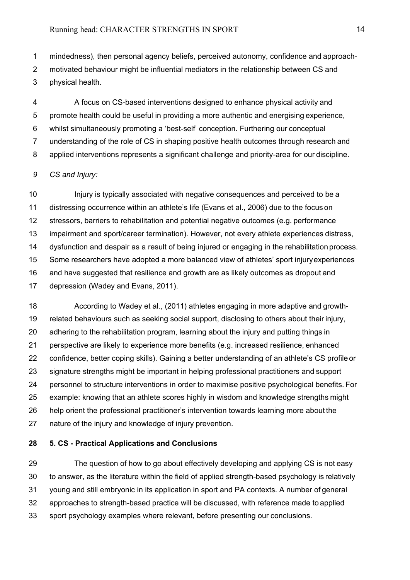1 mindedness), then personal agency beliefs, perceived autonomy, confidence and approach-2 motivated behaviour might be influential mediators in the relationship between CS and 3 physical health.

4 A focus on CS-based interventions designed to enhance physical activity and 5 promote health could be useful in providing a more authentic and energising experience, 6 whilst simultaneously promoting a 'best-self' conception. Furthering our conceptual 7 understanding of the role of CS in shaping positive health outcomes through research and 8 applied interventions represents a significant challenge and priority-area for our discipline.

#### *9 CS and Injury:*

 Injury is typically associated with negative consequences and perceived to be a distressing occurrence within an athlete's life (Evans et al., 2006) due to the focus on stressors, barriers to rehabilitation and potential negative outcomes (e.g. performance impairment and sport/career termination). However, not every athlete experiences distress, dysfunction and despair as a result of being injured or engaging in the rehabilitation process. Some researchers have adopted a more balanced view of athletes' sport injuryexperiences and have suggested that resilience and growth are as likely outcomes as dropout and depression (Wadey and Evans, 2011).

 According to Wadey et al., (2011) athletes engaging in more adaptive and growth- related behaviours such as seeking social support, disclosing to others about their injury, adhering to the rehabilitation program, learning about the injury and putting things in perspective are likely to experience more benefits (e.g. increased resilience, enhanced confidence, better coping skills). Gaining a better understanding of an athlete's CS profile or signature strengths might be important in helping professional practitioners and support personnel to structure interventions in order to maximise positive psychological benefits. For example: knowing that an athlete scores highly in wisdom and knowledge strengths might help orient the professional practitioner's intervention towards learning more about the nature of the injury and knowledge of injury prevention.

## **5. CS - Practical Applications and Conclusions**

 The question of how to go about effectively developing and applying CS is not easy to answer, as the literature within the field of applied strength-based psychology is relatively young and still embryonic in its application in sport and PA contexts. A number of general approaches to strength-based practice will be discussed, with reference made to applied sport psychology examples where relevant, before presenting our conclusions.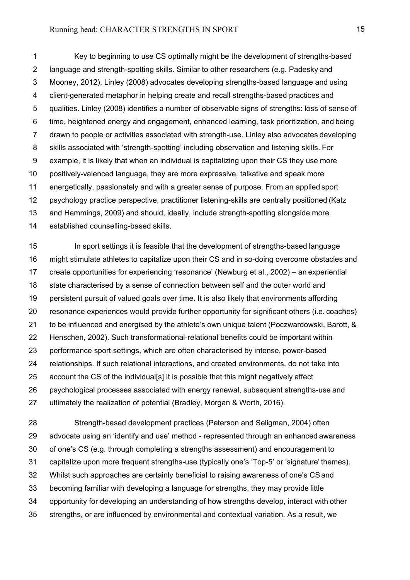1 Key to beginning to use CS optimally might be the development of strengths-based 2 language and strength-spotting skills. Similar to other researchers (e.g. Padesky and 3 Mooney, 2012), Linley (2008) advocates developing strengths-based language and using 4 client-generated metaphor in helping create and recall strengths-based practices and 5 qualities. Linley (2008) identifies a number of observable signs of strengths: loss of sense of 6 time, heightened energy and engagement, enhanced learning, task prioritization, and being 7 drawn to people or activities associated with strength-use. Linley also advocates developing 8 skills associated with 'strength-spotting' including observation and listening skills. For 9 example, it is likely that when an individual is capitalizing upon their CS they use more positively-valenced language, they are more expressive, talkative and speak more energetically, passionately and with a greater sense of purpose. From an applied sport psychology practice perspective, practitioner listening-skills are centrally positioned (Katz and Hemmings, 2009) and should, ideally, include strength-spotting alongside more established counselling-based skills.

 In sport settings it is feasible that the development of strengths-based language might stimulate athletes to capitalize upon their CS and in so-doing overcome obstacles and create opportunities for experiencing 'resonance' (Newburg et al., 2002) – an experiential state characterised by a sense of connection between self and the outer world and persistent pursuit of valued goals over time. It is also likely that environments affording resonance experiences would provide further opportunity for significant others (i.e. coaches) to be influenced and energised by the athlete's own unique talent (Poczwardowski, Barott, & Henschen, 2002). Such transformational-relational benefits could be important within performance sport settings, which are often characterised by intense, power-based relationships. If such relational interactions, and created environments, do not take into account the CS of the individual[s] it is possible that this might negatively affect psychological processes associated with energy renewal, subsequent strengths-use and ultimately the realization of potential (Bradley, Morgan & Worth, 2016).

 Strength-based development practices (Peterson and Seligman, 2004) often advocate using an 'identify and use' method - represented through an enhanced awareness of one's CS (e.g. through completing a strengths assessment) and encouragement to capitalize upon more frequent strengths-use (typically one's 'Top-5' or 'signature' themes). Whilst such approaches are certainly beneficial to raising awareness of one's CSand becoming familiar with developing a language for strengths, they may provide little opportunity for developing an understanding of how strengths develop, interact with other strengths, or are influenced by environmental and contextual variation. As a result, we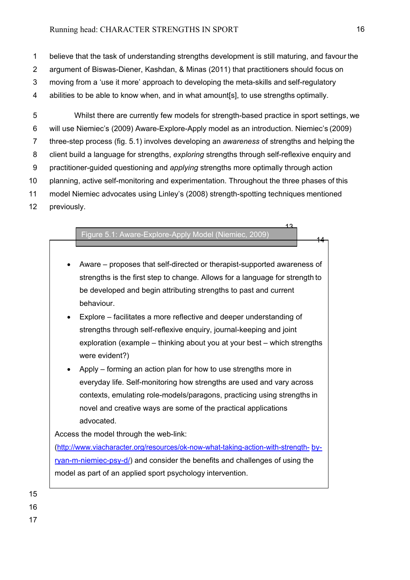1 believe that the task of understanding strengths development is still maturing, and favour the 2 argument of Biswas-Diener, Kashdan, & Minas (2011) that practitioners should focus on 3 moving from a 'use it more' approach to developing the meta-skills and self-regulatory 4 abilities to be able to know when, and in what amount[s], to use strengths optimally.

5 Whilst there are currently few models for strength-based practice in sport settings, we 6 will use Niemiec's (2009) Aware-Explore-Apply model as an introduction. Niemiec's (2009) 7 three-step process (fig. 5.1) involves developing an *awareness* of strengths and helping the 8 client build a language for strengths, *exploring* strengths through self-reflexive enquiry and 9 practitioner-guided questioning and *applying* strengths more optimally through action 10 planning, active self-monitoring and experimentation. Throughout the three phases of this 11 model Niemiec advocates using Linley's (2008) strength-spotting techniques mentioned 12 previously.

|  | Figure 5.1: Aware-Explore-Apply Model (Niemiec, 2009) |
|--|-------------------------------------------------------|
|  |                                                       |

• Aware – proposes that self-directed or therapist-supported awareness of strengths is the first step to change. Allows for a language for strength to be developed and begin attributing strengths to past and current behaviour.

13

14

- Explore facilitates a more reflective and deeper understanding of strengths through self-reflexive enquiry, journal-keeping and joint exploration (example – thinking about you at your best – which strengths were evident?)
- Apply forming an action plan for how to use strengths more in everyday life. Self-monitoring how strengths are used and vary across contexts, emulating role-models/paragons, practicing using strengths in novel and creative ways are some of the practical applications advocated.

Access the model through the web-link:

[\(http://www.viacharacter.org/resources/ok-now-what-taking-action-with-strength-](http://www.viacharacter.org/resources/ok-now-what-taking-action-with-strength-by-ryan-m-niemiec-psy-d/) [by](http://www.viacharacter.org/resources/ok-now-what-taking-action-with-strength-by-ryan-m-niemiec-psy-d/)[ryan-m-niemiec-psy-d/\)](http://www.viacharacter.org/resources/ok-now-what-taking-action-with-strength-by-ryan-m-niemiec-psy-d/) and consider the benefits and challenges of using the model as part of an applied sport psychology intervention.

- 15
- 16
- 17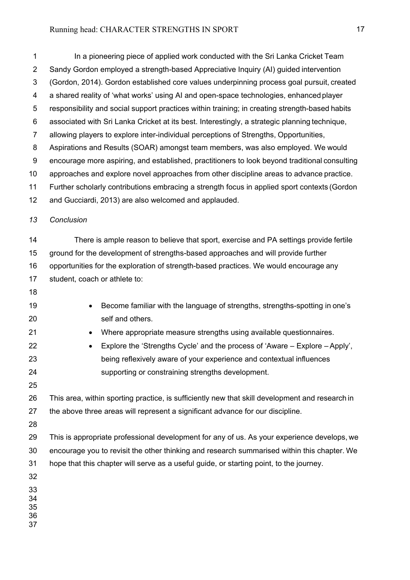1 In a pioneering piece of applied work conducted with the Sri Lanka Cricket Team 2 Sandy Gordon employed a strength-based Appreciative Inquiry (AI) guided intervention 3 (Gordon, 2014). Gordon established core values underpinning process goal pursuit, created 4 a shared reality of 'what works' using AI and open-space technologies, enhanced player 5 responsibility and social support practices within training; in creating strength-based habits 6 associated with Sri Lanka Cricket at its best. Interestingly, a strategic planning technique, 7 allowing players to explore inter-individual perceptions of Strengths, Opportunities, 8 Aspirations and Results (SOAR) amongst team members, was also employed. We would 9 encourage more aspiring, and established, practitioners to look beyond traditional consulting approaches and explore novel approaches from other discipline areas to advance practice. Further scholarly contributions embracing a strength focus in applied sport contexts (Gordon and Gucciardi, 2013) are also welcomed and applauded. *Conclusion* There is ample reason to believe that sport, exercise and PA settings provide fertile ground for the development of strengths-based approaches and will provide further opportunities for the exploration of strength-based practices. We would encourage any student, coach or athlete to: • Become familiar with the language of strengths, strengths-spotting in one's self and others. • Where appropriate measure strengths using available questionnaires. • Explore the 'Strengths Cycle' and the process of 'Aware – Explore – Apply', being reflexively aware of your experience and contextual influences supporting or constraining strengths development. This area, within sporting practice, is sufficiently new that skill development and research in the above three areas will represent a significant advance for our discipline. This is appropriate professional development for any of us. As your experience develops, we encourage you to revisit the other thinking and research summarised within this chapter. We hope that this chapter will serve as a useful guide, or starting point, to the journey.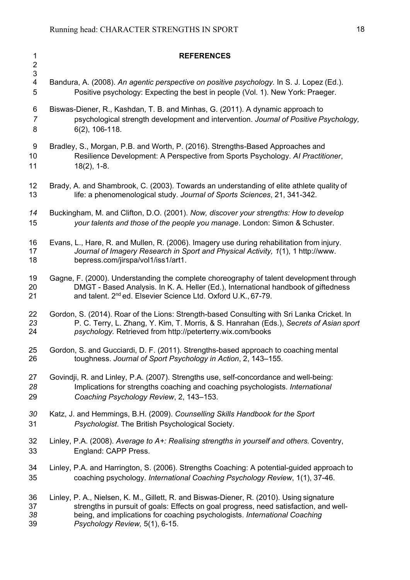**REFERENCES**  4 Bandura, A. (2008). *An agentic perspective on positive psychology.* In S. J. Lopez (Ed.). 5 Positive psychology: Expecting the best in people (Vol. 1). New York: Praeger. 6 Biswas-Diener, R., Kashdan, T. B. and Minhas, G. (2011). A dynamic approach to psychological strength development and intervention. *Journal of Positive Psychology,* 8 6(2), 106-118. 9 Bradley, S., Morgan, P.B. and Worth, P. (2016). Strengths-Based Approaches and Resilience Development: A Perspective from Sports Psychology. *AI Practitioner*, 18(2), 1-8. Brady, A. and Shambrook, C. (2003). Towards an understanding of elite athlete quality of life: a phenomenological study. *Journal of Sports Sciences*, 21, 341-342. Buckingham, M. and Clifton, D.O. (2001). *Now, discover your strengths: How to develop your talents and those of the people you manage*. London: Simon & Schuster. Evans, L., Hare, R. and Mullen, R. (2006). Imagery use during rehabilitation from injury. *Journal of Imagery Research in Sport and Physical Activity, 1*(1), 1 [http://www.](http://www/) bepress.com/jirspa/vol1/iss1/art1. Gagne, F. (2000). Understanding the complete choreography of talent development through DMGT - Based Analysis. In K. A. Heller (Ed.), International handbook of giftedness 21 and talent. 2<sup>nd</sup> ed. Elsevier Science Ltd. Oxford U.K., 67-79. 22 Gordon, S. (2014). Roar of the Lions: Strength-based Consulting with Sri Lanka Cricket. In<br>23 P. C. Terry. L. Zhang. Y. Kim. T. Morris. & S. Hanrahan (Eds.). Secrets of Asian spo P. C. Terry, L. Zhang, Y. Kim, T. Morris, & S. Hanrahan (Eds.), *Secrets of Asian sport psychology.* Retrieved from <http://peterterry.wix.com/books> 25 Gordon, S. and Gucciardi, D. F. (2011). Strengths-based approach to coaching mental<br>26 toughness. Journal of Sport Psychology in Action, 2, 143–155. toughness. *Journal of Sport Psychology in Action*, 2, 143–155. Govindji, R. and Linley, P.A. (2007). Strengths use, self-concordance and well-being: Implications for strengths coaching and coaching psychologists. *International Coaching Psychology Review*, 2, 143–153. Katz, J. and Hemmings, B.H. (2009). *Counselling Skills Handbook for the Sport Psychologist*. The British Psychological Society. Linley, P.A. (2008). *Average to A+: Realising strengths in yourself and others.* Coventry, England: CAPP Press. Linley, P.A. and Harrington, S. (2006). Strengths Coaching: A potential-guided approach to coaching psychology. *International Coaching Psychology Review*, 1(1), 37-46. Linley, P. A., Nielsen, K. M., Gillett, R. and Biswas-Diener, R. (2010). Using signature 37 strengths in pursuit of goals: Effects on goal progress, need satisfaction, and well-<br>38 being, and implications for coaching psychologists, *International Coaching*  being, and implications for coaching psychologists. *International Coaching Psychology Review,* 5(1), 6-15.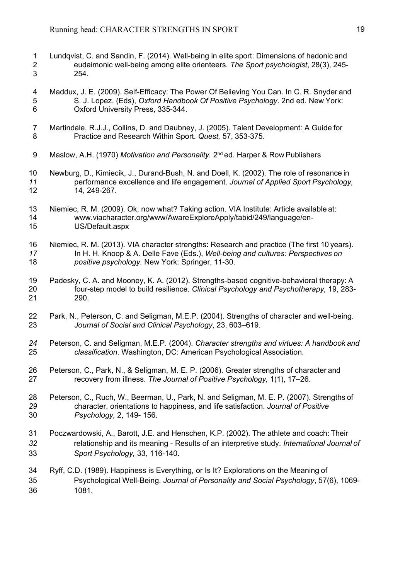- 1 Lundqvist, C. and Sandin, F. (2014). Well-being in elite sport: Dimensions of hedonic and<br>2 eudaimonic well-being among elite orienteers. The Sport psychologist, 28(3), 245-2 eudaimonic well-being among elite orienteers. *The Sport psychologist*, 28(3), 245- 3 254.
- 4 Maddux, J. E. (2009). Self-Efficacy: The Power Of Believing You Can. In C. R. Snyder and 5 S. J. Lopez. (Eds), *Oxford Handbook Of Positive Psychology*. 2nd ed. New York: 6 Oxford University Press, 335-344.
- 7 Martindale, R.J.J., Collins, D. and Daubney, J. (2005). Talent Development: A Guide for<br>8 Thactice and Research Within Sport. Quest. 57, 353-375. 8 Practice and Research Within Sport. *Quest,* 57, 353-375.
- 9 Maslow, A.H. (1970) *Motivation and Personality.* 2nd ed. Harper & Row Publishers
- Newburg, D., Kimiecik, J., Durand-Bush, N. and Doell, K. (2002). The role of resonance in performance excellence and life engagement. *Journal of Applied Sport Psychology,* 14, 249-267.
- Niemiec, R. M. (2009). Ok, now what? Taking action. VIA Institute: Article available at: [www.viacharacter.org/www/AwareExploreApply/tabid/249/language/en-](http://www.viacharacter.org/www/AwareExploreApply/tabid/249/language/en-)US/Default.aspx
- Niemiec, R. M. (2013). VIA character strengths: Research and practice (The first 10 years). In H. H. Knoop & A. Delle Fave (Eds.), *Well-being and cultures: Perspectives on positive psychology.* New York: Springer, 11-30.
- Padesky, C. A. and Mooney, K. A. (2012). Strengths-based cognitive-behavioral therapy: A four-step model to build resilience. *Clinical Psychology and Psychotherapy,* 19, 283- 290.
- Park, N., Peterson, C. and Seligman, M.E.P. (2004). Strengths of character and well-being. *Journal of Social and Clinical Psychology*, 23, 603–619.
- Peterson, C. and Seligman, M.E.P. (2004). *Character strengths and virtues: A handbook and classification*. Washington, DC: American Psychological Association.
- Peterson, C., Park, N., & Seligman, M. E. P. (2006). Greater strengths of character and recovery from illness. *The Journal of Positive Psychology,* 1(1), 17–26.
- Peterson, C., Ruch, W., Beerman, U., Park, N. and Seligman, M. E. P. (2007). Strengths of character, orientations to happiness, and life satisfaction. *Journal of Positive Psychology,* 2, 149- 156.
- Poczwardowski, A., Barott, J.E. and Henschen, K.P. (2002). The athlete and coach: Their relationship and its meaning - Results of an interpretive study. *International Journal of Sport Psychology,* 33*,* 116-140.
- Ryff, C.D. (1989). Happiness is Everything, or Is It? Explorations on the Meaning of Psychological Well-Being. *Journal of Personality and Social Psychology*, 57(6), 1069- 1081.